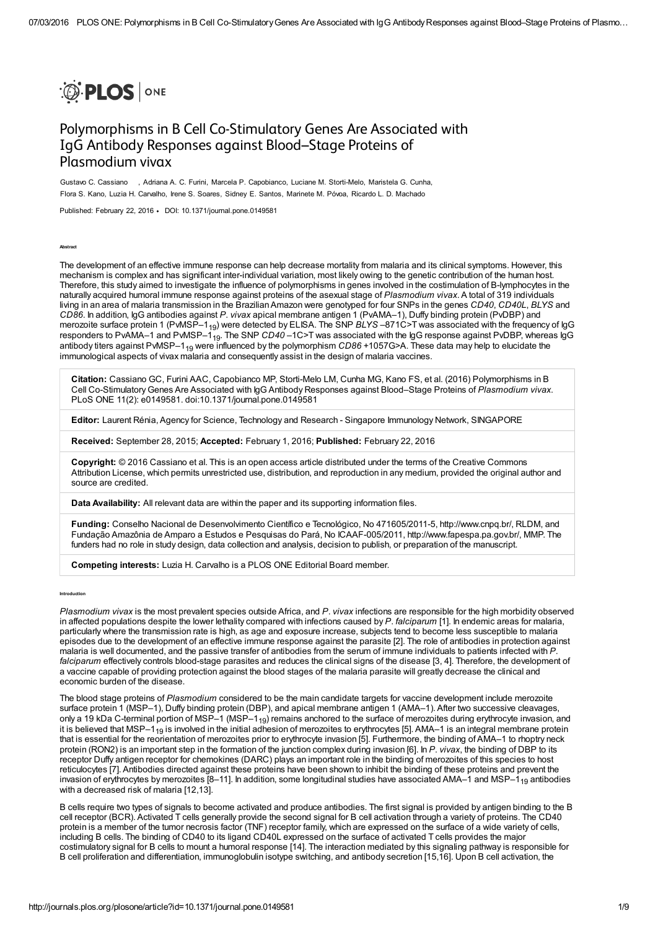

# Polymorphisms in B Cell Co-Stimulatory Genes Are Associated with IgG Antibody Responses against Blood–Stage Proteins of Plasmodium vivax

Gustavo C. Cassiano , Adriana A. C. Furini, Marcela P. Capobianco, Luciane M. Storti-Melo, Maristela G. Cunha, Flora S. Kano, Luzia H. Carvalho, Irene S. Soares, Sidney E. Santos, Marinete M. Póvoa, Ricardo L. D. Machado

Published: February 22, 2016 • DOI: 10.1371/journal.pone.0149581

Abstract

Introduction

The development of an effective immune response can help decrease mortality from malaria and its clinical symptoms. However, this mechanism is complex and has significant inter-individual variation, most likely owing to the genetic contribution of the human host. Therefore, this study aimed to investigate the influence of polymorphisms in genes involved in the costimulation of B-lymphocytes in the naturally acquired humoral immune response against proteins of the asexual stage of Plasmodium vivax. A total of 319 individuals living in an area of malaria transmission in the BrazilianAmazon were genotyped for four SNPs in the genes CD40, CD40L, BLYS and CD86. In addition, IgG antibodies against P. vivax apical membrane antigen 1 (PvAMA–1), Duffy binding protein (PvDBP) and merozoite surface protein 1 (PvMSP–1<sub>19</sub>) were detected by ELISA. The SNP *BLYS –*871C>T was associated with the frequency of IgG responders to PvAMA–1 and PvMSP–1<sub>19</sub>. The SNP *CD40* –1C>T was associated with the lgG response against PvDBP, whereas lgG antibody titers against PvMSP–1<sub>19</sub> were influenced by the polymorphism CD86 +1057G>A. These data may help to elucidate the immunological aspects of vivax malaria and consequently assist in the design of malaria vaccines.

Citation: Cassiano GC, Furini AAC, Capobianco MP, Storti-Melo LM, Cunha MG, Kano FS, et al. (2016) Polymorphisms in B Cell Co-Stimulatory Genes Are Associated with IgG Antibody Responses against Blood–Stage Proteins of Plasmodium vivax. PLoS ONE 11(2): e0149581. doi:10.1371/journal.pone.0149581

Editor: Laurent Rénia, Agency for Science, Technology and Research - Singapore Immunology Network, SINGAPORE

Received: September 28, 2015; Accepted: February 1, 2016; Published: February 22, 2016

Copyright: © 2016 Cassiano et al. This is an open access article distributed under the terms of the Creative Commons Attribution License, which permits unrestricted use, distribution, and [reproduction](http://creativecommons.org/licenses/by/4.0/) in any medium, provided the original author and source are credited.

Data Availability: All relevant data are within the paper and its supporting information files.

Funding: Conselho Nacional de Desenvolvimento Científico e Tecnológico, No 471605/2011-5, [http://www.cnpq.br/,](http://www.cnpq.br/) RLDM, and Fundação Amazônia de Amparo a Estudos e Pesquisas do Pará, No ICAAF-005/2011, [http://www.fapespa.pa.gov.br/,](http://www.fapespa.pa.gov.br/) MMP. The funders had no role in study design, data collection and analysis, decision to publish, or preparation of the manuscript.

Competing interests: Luzia H. Carvalho is a PLOS ONE Editorial Board member.

Plasmodium vivax is the most prevalent species outside Africa, and P. vivax infections are responsible for the high morbidity observed in affected populations despite the lower lethality compared with infections caused by  $P$ . falciparum [[1](#page-5-0)]. In endemic areas for malaria, particularly where the transmission rate is high, as age and exposure increase, subjects tend to become less susceptible to malaria episodes due to the development of an effective immune response against the parasite [\[2\]](#page-5-1). The role of antibodies in protection against malaria is well documented, and the passive transfer of antibodies from the serum of immune individuals to patients infected with P. falciparum effectively controls blood-stage parasites and reduces the clinical signs of the disease [[3](#page-5-2), [4\]](#page-5-3). Therefore, the development of a vaccine capable of providing protection against the blood stages of the malaria parasite will greatly decrease the clinical and economic burden of the disease.

The blood stage proteins of Plasmodium considered to be the main candidate targets for vaccine development include merozoite surface protein 1 (MSP–1), Duffy binding protein (DBP), and apical membrane antigen 1 (AMA–1). After two successive cleavages, only a 19 kDa C-terminal portion of MSP–1 (MSP–1<sub>19</sub>) remains anchored to the surface of merozoites during erythrocyte invasion, and it is believed that MSP–1<sub>19</sub> is involved in the initial adhesion of merozoites to erythrocytes [[5](#page-5-4)]. AMA–1 is an integral membrane protein that is essential for the reorientation of merozoites prior to erythrocyte invasion [[5](#page-5-4)]. Furthermore, the binding of AMA–1 to rhoptry neck protein (RON2) is an important step in the formation of the junction complex during invasion [\[6\]](#page-5-5). In P. vivax, the binding of DBP to its receptor Duffy antigen receptor for chemokines (DARC) plays an important role in the binding of merozoites of this species to host reticulocytes [\[7\]](#page-5-6). Antibodies directed against these proteins have been shown to inhibit the binding of these proteins and prevent the invasion of erythrocytes by merozoites [\[8](#page-5-7)[–11\]](#page-6-0). In addition, some longitudinal studies have associated AMA–1 and MSP–1<sub>19</sub> antibodies with a decreased risk of malaria [[12,](#page-6-1)[13\]](#page-6-2).

B cells require two types of signals to become activated and produce antibodies. The first signal is provided by antigen binding to the B cell receptor (BCR). Activated T cells generally provide the second signal for B cell activation through a variety of proteins. The CD40 protein is a member of the tumor necrosis factor (TNF) receptor family, which are expressed on the surface of a wide variety of cells, including B cells. The binding of CD40 to its ligand CD40L expressed on the surface of activated T cells provides the major costimulatory signal for B cells to mount a humoral response [\[14](#page-6-3)]. The interaction mediated by this signaling pathway is responsible for B cell proliferation and differentiation, immunoglobulin isotype switching, and antibody secretion [\[15](#page-6-4)[,16](#page-6-5)]. Upon B cell activation, the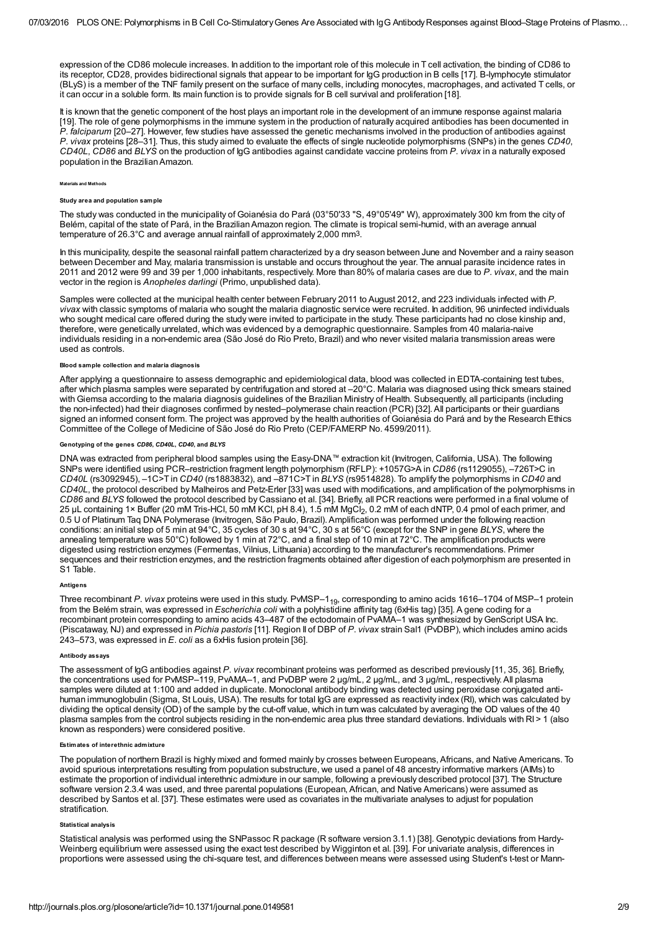expression of the CD86 molecule increases. In addition to the important role of this molecule in T cell activation, the binding of CD86 to its receptor, CD28, provides bidirectional signals that appear to be important for IgG production in B cells [\[17](#page-6-6)]. B-lymphocyte stimulator (BLyS) is a member of the TNF family present on the surface of many cells, including monocytes, macrophages, and activated T cells, or it can occur in a soluble form. Its main function is to provide signals for B cell survival and proliferation [\[18](#page-6-7)].

It is known that the genetic component of the host plays an important role in the development of an immune response against malaria [\[19](#page-6-8)]. The role of gene polymorphisms in the immune system in the production of naturally acquired antibodies has been documented in P. falciparum [\[20](#page-6-9)–[27\]](#page-6-10). However, few studies have assessed the genetic mechanisms involved in the production of antibodies against P. vivax proteins [\[28](#page-7-0)–[31\]](#page-7-1). Thus, this study aimed to evaluate the effects of single nucleotide polymorphisms (SNPs) in the genes CD40, CD40L, CD86 and BLYS on the production of IgG antibodies against candidate vaccine proteins from P. vivax in a naturally exposed population in the BrazilianAmazon.

## Materials and Methods

#### Study area and population sample

The study was conducted in the municipality of Goianésia do Pará (03°50'33 "S, 49°05'49" W), approximately 300 km from the city of Belém, capital of the state of Pará, in the Brazilian Amazon region. The climate is tropical semi-humid, with an average annual temperature of  $26.3^{\circ}$ C and average annual rainfall of approximately 2,000 mm<sup>3</sup>.

In this municipality, despite the seasonal rainfall pattern characterized by a dry season between June and November and a rainy season between December and May, malaria transmission is unstable and occurs throughout the year. The annual parasite incidence rates in 2011 and 2012 were 99 and 39 per 1,000 inhabitants, respectively. More than 80% of malaria cases are due to P. vivax, and the main vector in the region is Anopheles darlingi (Primo, unpublished data).

Samples were collected at the municipal health center between February 2011 to August 2012, and 223 individuals infected with P. vivax with classic symptoms of malaria who sought the malaria diagnostic service were recruited. In addition, 96 uninfected individuals who sought medical care offered during the study were invited to participate in the study. These participants had no close kinship and, therefore, were genetically unrelated, which was evidenced by a demographic questionnaire. Samples from 40 malaria-naive individuals residing in a non-endemic area (São José do Rio Preto, Brazil) and who never visited malaria transmission areas were used as controls.

#### sample collection and malaria diagnosis

After applying a questionnaire to assess demographic and epidemiological data, blood was collected in EDTA-containing test tubes, after which plasma samples were separated by centrifugation and stored at –20°C. Malaria was diagnosed using thick smears stained with Giemsa according to the malaria diagnosis guidelines of the Brazilian Ministry of Health. Subsequently, all participants (including the non-infected) had their diagnoses confirmed by nested–polymerase chain reaction (PCR) [\[32](#page-7-2)]. All participants or their guardians signed an informed consent form. The project was approved by the health authorities of Goianésia do Pará and by the Research Ethics Committee of the College of Medicine of São José do Rio Preto (CEP/FAMERP No. 4599/2011).

# otyping of the genes *CD86, CD40L, CD40,* and *BLYS*

DNA was extracted from peripheral blood samples using the Easy-DNA™ extraction kit (Invitrogen, California, USA). The following SNPs were identified using PCR–restriction fragment length polymorphism (RFLP): +1057G>A in CD86 (rs1129055), –726T>C in CD40L (rs3092945), –1C>T in CD40 (rs1883832), and –871C>T in BLYS (rs9514828). To amplify the polymorphisms in CD40 and CD40L, the protocol described by Malheiros and Petz-Erler [\[33\]](#page-7-3) was used with modifications, and amplification of the polymorphisms in CD86 and BLYS followed the protocol described by Cassiano et al. [[34\]](#page-7-4). Briefly, all PCR reactions were performed in a final volume of 25 μL containing 1× Buffer (20 mM Tris-HCl, 50 mM KCl, pH 8.4), 1.5 mM MgCl<sub>2</sub>, 0.2 mM of each dNTP, 0.4 pmol of each primer, and zo µL containing T× Builer (zu mini Tris-HCi, 50 mini KCi, pH 8.4), T.5 mini MgCi<sub>2</sub>, 0.2 mini of each diviP, 0.4 pmol of each primer,<br>0.5 U of Platinum Taq DNA Polymerase (Invitrogen, São Paulo, Brazil). Amplification was conditions: an initial step of 5 min at 94°C, 35 cycles of 30 s at 94°C, 30 s at 56°C (except for the SNP in gene BLYS, where the annealing temperature was 50°C) followed by 1 min at 72°C, and a final step of 10 min at 72°C. The amplification products were digested using restriction enzymes (Fermentas, Vilnius, Lithuania) according to the manufacturer's recommendations. Primer sequences and their restriction enzymes, and the restriction fragments obtained after digestion of each polymorphism are presented in S1 [Table.](#page-5-8)

# **Antigens**

Three recombinant P. vivax proteins were used in this study. PvMSP–1<sub>19</sub>, corresponding to amino acids 1616–1704 of MSP–1 protein from the Belém strain, was expressed in Escherichia coli with a polyhistidine affinity tag (6xHis tag) [[35\]](#page-7-5). A gene coding for a recombinant protein corresponding to amino acids 43–487 of the ectodomain of PvAMA–1 was synthesized by GenScript USA Inc. (Piscataway, NJ) and expressed in Pichia pastoris [\[11\]](#page-6-0). Region II of DBP of P. vivax strain Sal1 (PvDBP), which includes amino acids 243–573, was expressed in E. coli as a 6xHis fusion protein [\[36](#page-7-6)].

#### Antibody assays

The assessment of IgG antibodies against P. vivax recombinant proteins was performed as described previously [\[11,](#page-6-0) [35,](#page-7-5) [36\]](#page-7-6). Briefly, the concentrations used for PvMSP–119, PvAMA–1, and PvDBP were 2 μg/mL, 2 μg/mL, and 3 μg/mL, respectively. All plasma samples were diluted at 1:100 and added in duplicate. Monoclonal antibody binding was detected using peroxidase conjugated antihuman immunoglobulin (Sigma, St Louis, USA). The results for total IgG are expressed as reactivity index (RI), which was calculated by dividing the optical density (OD) of the sample by the cut-off value, which in turn was calculated by averaging the OD values of the 40 plasma samples from the control subjects residing in the non-endemic area plus three standard deviations. Individuals with RI > 1 (also known as responders) were considered positive.

#### Estimates of interethnic admixture

The population of northern Brazil is highly mixed and formed mainly by crosses between Europeans, Africans, and Native Americans. To avoid spurious interpretations resulting from population substructure, we used a panel of 48 ancestry informative markers (AIMs) to estimate the proportion of individual interethnic admixture in our sample, following a previously described protocol [\[37\]](#page-7-7). The Structure software version 2.3.4 was used, and three parental populations (European, African, and Native Americans) were assumed as described by Santos et al. [\[37](#page-7-7)]. These estimates were used as covariates in the multivariate analyses to adjust for population stratification.

#### Statistical analysis

Statistical analysis was performed using the SNPassoc R package (R software version 3.1.1) [[38\]](#page-7-8). Genotypic deviations from Hardy- Weinberg equilibrium were assessed using the exact test described by Wigginton et al. [\[39\]](#page-7-9). For univariate analysis, differences in proportions were assessed using the chi-square test, and differences between means were assessed using Student's t-test or Mann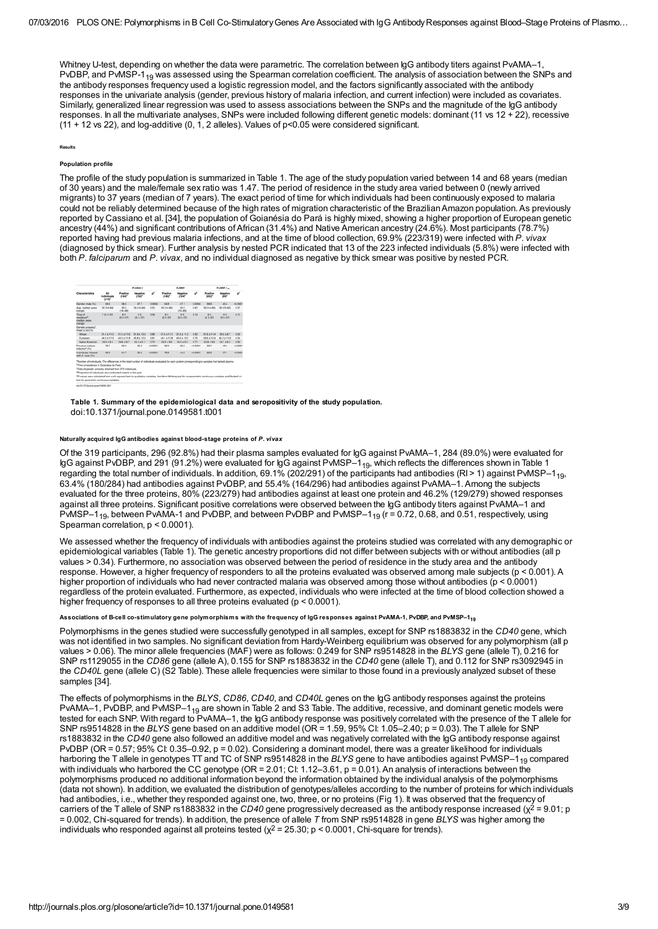Whitney U-test, depending on whether the data were parametric. The correlation between IgG antibody titers against PvAMA–1, PvDBP, and PvMSP-1<sub>19</sub> was assessed using the Spearman correlation coefficient. The analysis of association between the SNPs and the antibody responses frequency used a logistic regression model, and the factors significantly associated with the antibody responses in the univariate analysis (gender, previous history of malaria infection, and current infection) were included as covariates. Similarly, generalized linear regression was used to assess associations between the SNPs and the magnitude of the IgG antibody responses. In all the multivariate analyses, SNPs were included following different genetic models: dominant (11 vs 12 + 22), recessive  $(11 + 12 \text{ vs } 22)$ , and log-additive  $(0, 1, 2$  alleles). Values of p<0.05 were considered significant.

#### Results

# Population profile

The profile of the study population is summarized in [Table](#page-2-0) 1. The age of the study population varied between 14 and 68 years (median of 30 years) and the male/female sex ratio was 1.47. The period of residence in the study area varied between 0 (newly arrived migrants) to 37 years (median of 7 years). The exact period of time for which individuals had been continuously exposed to malaria could not be reliably determined because of the high rates of migration characteristic of the BrazilianAmazon population. As previously reported by Cassiano et al. [[34\]](#page-7-4), the population of Goianésia do Pará is highly mixed, showing a higher proportion of European genetic ancestry (44%) and significant contributions of African (31.4%) and Native American ancestry (24.6%). Most participants (78.7%) reported having had previous malaria infections, and at the time of blood collection, 69.9% (223/319) were infected with P. vivax (diagnosed by thick smear). Further analysis by nested PCR indicated that 13 of the 223 infected individuals (5.8%) were infected with both P. falciparum and P. vivax, and no individual diagnosed as negative by thick smear was positive by nested PCR.

<span id="page-2-0"></span>

| Characteristics                                                                                                                                                                                                                                                                                                                                                                                                                                                                                                                                   | All<br>individuals.<br>asse | Public 1                         |                                                        |           | Publish             |                          |           | PyMSP-1.4           |                                         |          |
|---------------------------------------------------------------------------------------------------------------------------------------------------------------------------------------------------------------------------------------------------------------------------------------------------------------------------------------------------------------------------------------------------------------------------------------------------------------------------------------------------------------------------------------------------|-----------------------------|----------------------------------|--------------------------------------------------------|-----------|---------------------|--------------------------|-----------|---------------------|-----------------------------------------|----------|
|                                                                                                                                                                                                                                                                                                                                                                                                                                                                                                                                                   |                             | Positive<br>$(164)$ <sup>*</sup> | <b><i><u>Mensative</u></i></b><br>$(132)$ <sup>*</sup> | v.        | Positive<br>(1807)  | <b>Megative</b><br>(104f | v         | Positive<br>crear   | <b><i><u>Riemantium</u></i></b><br>1997 | v        |
| Gender, male (%)                                                                                                                                                                                                                                                                                                                                                                                                                                                                                                                                  | 53.6                        | 68.3                             | 47.7                                                   | 0.0004    | 64.8                | 47.1                     | 0.0004    | 66.8                | 40.4                                    | $-0.000$ |
| Ass. median years<br>(range)                                                                                                                                                                                                                                                                                                                                                                                                                                                                                                                      | 30 (14-68)                  | 30.5<br>$(14 - 68)$              | 29 (14-66)                                             | 0.52      | 29-114-680          | 30.5<br>(14, 44)         | 0.63      | 30-114-680          | 29 (15-65)                              | 0.37     |
| Time of<br><b>Manufassi</b><br>median years<br>(range)                                                                                                                                                                                                                                                                                                                                                                                                                                                                                            | $7(0.5 - 37)$               | 6.0<br>$40.1 - 371$              | 8.5<br>$(0.1 - 37)$                                    | 0.06      | 6.5<br>$40.1 - 371$ | 8.0<br>$(0.1 - 37)$      | 0.16      | 6.5<br>$(0.1 - 37)$ | 8.5<br>$(0.1 - 37)$                     | 0.15     |
| Genetic ancestry".<br>mean a SD (%)                                                                                                                                                                                                                                                                                                                                                                                                                                                                                                               |                             |                                  |                                                        |           |                     |                          |           |                     |                                         |          |
| <b>African</b>                                                                                                                                                                                                                                                                                                                                                                                                                                                                                                                                    | $31.4 + 11.0$               | $31.3 + 11.6$                    | $31.9 + 10.3$                                          | 0.66      | $31.6 + 11.1$       | $31.8 + 11.3$            | 0.02      | $31.6 + 11.4$       | $30.6 + 0.7$                            | 0.55     |
| European.                                                                                                                                                                                                                                                                                                                                                                                                                                                                                                                                         | 44.0 x 11.9                 | 44.0 x 11.9                      | 43.8 ± 12.6                                            | 0.91      | 44.1 x 11.8         | 43.6 ± 13.2              | 0.76      | 43.6 ± 12.4         | 45.3 x 11.6                             | 0.34     |
| Native American                                                                                                                                                                                                                                                                                                                                                                                                                                                                                                                                   | $24.6 + 9.4$                | $246 + 9.7$                      | $24.2 + 9.1$                                           | 0.70      | 24.3 + 9.5          | $24.6 + 9.5$             | 0.77      | 24.8 + 9.4          | $24.1 + 9.5$                            | 0.60     |
| Previous material<br>infaction <sup>4</sup> (%)                                                                                                                                                                                                                                                                                                                                                                                                                                                                                                   | 78.7                        | 95.0                             | 55.9                                                   | $+0.0001$ | 92.0                | 822                      | $-0.0001$ | 90.1                | 49.4                                    | $-0.000$ |
| Induiduals infected<br>with P. Vivax (%)                                                                                                                                                                                                                                                                                                                                                                                                                                                                                                          | 65.5                        | 81.7                             | 50.0                                                   | $+0.0001$ | 78.9                | 44.2                     | $+0.0001$ | 80.2                | 37.1                                    | $-0.000$ |
| *Number of individuals. The differences in the total number of individuals evaluated for each protein comesponding to samples that lacked plasma.<br><sup>1</sup> Time of residence in Golanésia do Pará.<br>"Data of genetic ancestry obtained from 273 individuals.<br>*Proportion of individuals who contracted malaria in the past.<br>*P-values were calculated from a chi-squared test for qualitative variables. the Mann-Whitney test for nonparametric continuous variables and Student's t<br>test for parametric continuous variables. |                             |                                  |                                                        |           |                     |                          |           |                     |                                         |          |

Table 1. Summary of the epidemiological data and seropositivity of the study population. doi:10.1371/journal.pone.0149581.t001

## Naturally acquired IgG antibodies against blood-stage proteins of P. vivax

Of the 319 participants, 296 (92.8%) had their plasma samples evaluated for IgG against PvAMA–1, 284 (89.0%) were evaluated for lgG against PvDBP, and 291 (91.2%) were evaluated for IgG against PvMSP–1<sub>19</sub>, which reflects the differences shown in [Table](#page-2-0) 1 regarding the total number of individuals. In addition, 69.1% (202/291) of the participants had antibodies (RI > 1) against PvMSP–1<sub>19</sub>, 63.4% (180/284) had antibodies against PvDBP, and 55.4% (164/296) had antibodies against PvAMA–1. Among the subjects evaluated for the three proteins, 80% (223/279) had antibodies against at least one protein and 46.2% (129/279) showed responses against all three proteins. Significant positive correlations were observed between the IgG antibody titers against PvAMA–1 and PvMSP–1<sub>19</sub>, between PvAMA-1 and PvDBP, and between PvDBP and PvMSP–1<sub>19</sub> (r = 0.72, 0.68, and 0.51, respectively, using Spearman correlation,  $p < 0.0001$ ).

We assessed whether the frequency of individuals with antibodies against the proteins studied was correlated with any demographic or epidemiological variables ([Table](#page-2-0) 1). The genetic ancestry proportions did not differ between subjects with or without antibodies (all p values > 0.34). Furthermore, no association was observed between the period of residence in the study area and the antibody response. However, a higher frequency of responders to all the proteins evaluated was observed among male subjects (p < 0.001). A higher proportion of individuals who had never contracted malaria was observed among those without antibodies (p < 0.0001) regardless of the protein evaluated. Furthermore, as expected, individuals who were infected at the time of blood collection showed a higher frequency of responses to all three proteins evaluated ( $p < 0.0001$ ).

#### Associations of B-cell co-stimulatory gene polymorphisms with the frequency of IgG responses against PvAMA-1, PvDBP, and PvMSP–1<sub>19</sub>

Polymorphisms in the genes studied were successfully genotyped in all samples, except for SNP rs1883832 in the CD40 gene, which was not identified in two samples. No significant deviation from Hardy-Weinberg equilibrium was observed for any polymorphism (all p values > 0.06). The minor allele frequencies (MAF) were as follows: 0.249 for SNP rs9514828 in the BLYS gene (allele T), 0.216 for SNP rs1129055 in the CD86 gene (allele A), 0.155 for SNP rs1883832 in the CD40 gene (allele T), and 0.112 for SNP rs3092945 in the CD40L gene (allele C) (S2 [Table\)](#page-5-9). These allele frequencies were similar to those found in a previously analyzed subset of these samples [[34\]](#page-7-4).

<span id="page-2-1"></span>The effects of polymorphisms in the BLYS, CD86, CD40, and CD40L genes on the IgG antibody responses against the proteins PvAMA–1, PvDBP, and PvMSP–1<sub>19</sub> are shown in [Table](#page-2-1) 2 and S3 [Table.](#page-5-10) The additive, recessive, and dominant genetic models were tested for each SNP. With regard to PvAMA–1, the IgG antibody response was positively correlated with the presence of the T allele for SNP rs9514828 in the BLYS gene based on an additive model (OR = 1.59, 95% CI: 1.05–2.40; p = 0.03). The T allele for SNP rs1883832 in the CD40 gene also followed an additive model and was negatively correlated with the IgG antibody response against PvDBP (OR = 0.57; 95% CI: 0.35–0.92, p = 0.02). Considering a dominant model, there was a greater likelihood for individuals harboring the T allele in genotypes TT and TC of SNP rs9514828 in the *BLYS* gene to have antibodies against PvMSP–1<sub>19</sub> compared with individuals who harbored the CC genotype (OR = 2.01; CI: 1.12–3.61, p = 0.01). An analysis of interactions between the polymorphisms produced no additional information beyond the information obtained by the individual analysis of the polymorphisms (data not shown). In addition, we evaluated the distribution of genotypes/alleles according to the number of proteins for which individuals had antibodies, i.e., whether they responded against one, two, three, or no proteins [\(Fig](#page-3-0) 1). It was observed that the frequency of carriers of the T allele of SNP rs1883832 in the CD40 gene progressively decreased as the antibody response increased ( $\chi^2$  = 9.01; p  $= 0.002$ , Chi-squared for trends). In addition, the presence of allele T from SNP rs9514828 in gene BLYS was higher among the individuals who responded against all proteins tested  $(\chi^2 = 25.30; p < 0.0001$ , Chi-square for trends).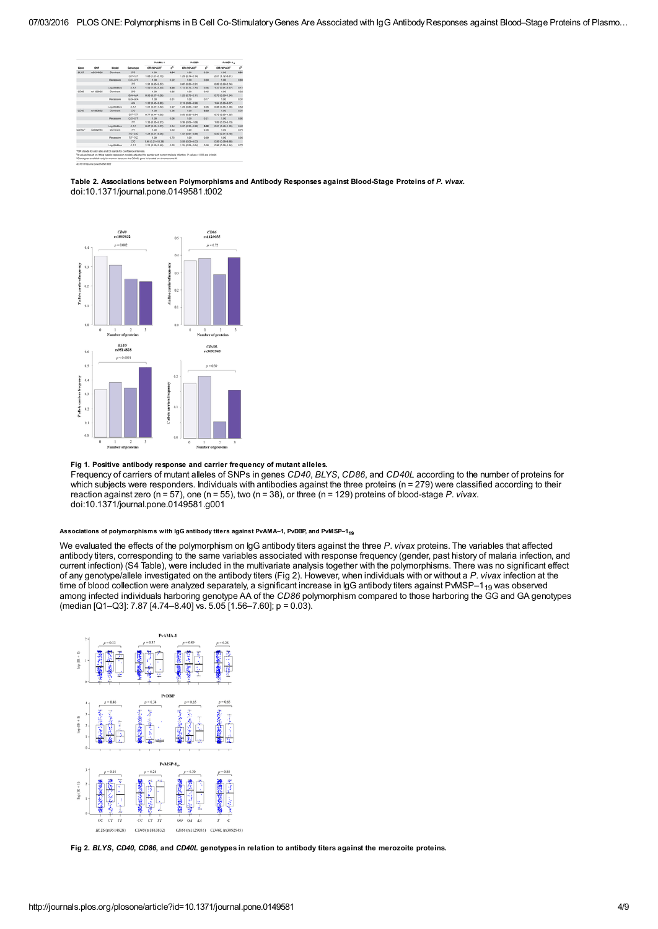| Gene   |                  | Model           | Genotype       | Publish.t.          |      | PvDBP               |      | PyMSP-1.         |      |
|--------|------------------|-----------------|----------------|---------------------|------|---------------------|------|------------------|------|
|        | <b>SINP</b>      |                 |                | OR (95%CI)*         | v    | OR (95%CI)*         | v    | OR (95%CI)*      | v    |
| 86.1%  | rations eacher   | Dominant        | C/C            | 1.00                | 0.04 | 1.00                | 0.39 | 1.00             | 0.01 |
|        |                  |                 | C7.77          | 1.68 (1.01-2.79)    |      | 1,26 (0,74 - 2,14)  |      | 2.01 (1.12-3.61) |      |
|        |                  | Recessive       | $CC-CT$        | 1.00                | 0.22 | 1.00                | 0.80 | 1.00             | 0.85 |
|        |                  |                 | 10             | 1.91 (0.65-5.57)    |      | 0.87 (0.30-2.5%)    |      | 0.80 (0.29-2.74) |      |
|        |                  | Loo-Additive    | 0.12           | 1.59 (1.05-2.40)    | 0.03 | 1.14 (0.74-1.74)    | 0.56 | 1.47 (0.91-2.37) | 0.11 |
| COM    | A1129055         | <b>Dominant</b> | 00             | 1.00                | 0.85 | 1.00                | 0.45 | 1.00             | 0.22 |
|        |                  |                 | <b>GIA-AIA</b> | 0.95 (0.57-1.58)    |      | 1.23 (0.72-2.11)    |      | 0.70 (0.30-1.24) |      |
|        |                  | Recessive       | GG-GA          | 1.00                | 0.65 | 1.00                | 0.57 | 1.00             | 0.31 |
|        |                  |                 | AM.            | 1.32 (0.45-3.85)    |      | 2.19 (0.65-6.96)    |      | 1.84 (0.56-6.07) |      |
|        |                  | Log-Additive    | 0.1.2          | 1.01 (0.67-1.52)    | 0.97 | 1.28 (0.83-1.97)    | 0.26 | 0.88 (0.56-1.38) | 0.54 |
| CO46   | <b>ISSUED/ST</b> | Dominant        | ce             | 1.00                | 0.36 | 1.00                | 0.03 | 1.00             | 0.31 |
|        |                  |                 | $C75 - 777$    | 0.77 (0.44-1.35)    |      | 0.53 (0.30-0.94)    |      | 0.73 (0.30-1.35) |      |
|        |                  | Beyessium       | $CO-O7$        | 3.00                | 0.66 | 3,000               | 0.21 | 1.00             | 0.90 |
|        |                  |                 | юr             | 1.35 (0.35-5.27)    |      | 0.39 (0.09-1.66)    |      | 1.09 (0.23-5.13) |      |
|        |                  | Log-Additive    | 0.12           | $0.87(0.55 - 1.37)$ | 0.54 | 0.57 (0.35-0.92)    | 6.82 | 0.81 (0.48-1.35) | 0.41 |
| CO40C* | ra3092945        | Dominant        | zл             | 1.00                | 0.63 | 1.00                | 0.36 | 1.00             | 0.70 |
|        |                  |                 | TC-CC          | 1.24 (0.51-3.05)    |      | 1.54 (0.61-3.88)    |      | 0.83 (0.31-2.18) |      |
|        |                  | Recessive       | $7/3 - 3/2$    | 1.00                | 0.70 | 1.00                | 0.60 | 1.00             | 0.92 |
|        |                  |                 | C/C            | 1.46 (0.21-10.39)   |      | $0.59(0.09 - 4.03)$ |      | 0.89 (0.08-9.86) |      |
|        |                  | Log-Additive    | 0.1.2          | 1.21 (0.55-2.48)    | 0.60 | 1.24 (0.58-2.64)    | 0.58 | 0.86 (0.38-1.94) | 0.77 |

Table 2. Associations between Polymorphisms and Antibody Responses against Blood-Stage Proteins of P. vivax. doi:10.1371/journal.pone.0149581.t002

<span id="page-3-0"></span>

Fig 1. Positive antibody response and carrier frequency of mutant alleles. Frequency of carriers of mutant alleles of SNPs in genes CD40, BLYS, CD86, and CD40L according to the number of proteins for which subjects were responders. Individuals with antibodies against the three proteins (n = 279) were classified according to their reaction against zero (n = 57), one (n = 55), two (n = 38), or three (n = 129) proteins of blood-stage P. vivax. doi:10.1371/journal.pone.0149581.g001

Associations of polymorphisms with IgG antibody titers against PvAMA–1, PvDBP, and PvMSP–1<sub>19</sub>

We evaluated the effects of the polymorphism on IgG antibody titers against the three P. vivax proteins. The variables that affected antibody titers, corresponding to the same variables associated with response frequency (gender, past history of malaria infection, and current infection) (S4 [Table](#page-5-11)), were included in the multivariate analysis together with the polymorphisms. There was no significant effect of any genotype/allele investigated on the antibody titers [\(Fig](#page-3-1) 2). However, when individuals with or without a P. vivax infection at the time of blood collection were analyzed separately, a significant increase in IgG antibody titers against PvMSP–1<sub>19</sub> was observed among infected individuals harboring genotype AA of the CD86 polymorphism compared to those harboring the GG and GA genotypes (median [Q1–Q3]: 7.87 [4.74–8.40] vs. 5.05 [1.56–7.60]; p = 0.03).

<span id="page-3-1"></span>

Fig 2. BLYS, CD40, CD86, and CD40L genotypes in relation to antibody titers against the merozoite proteins.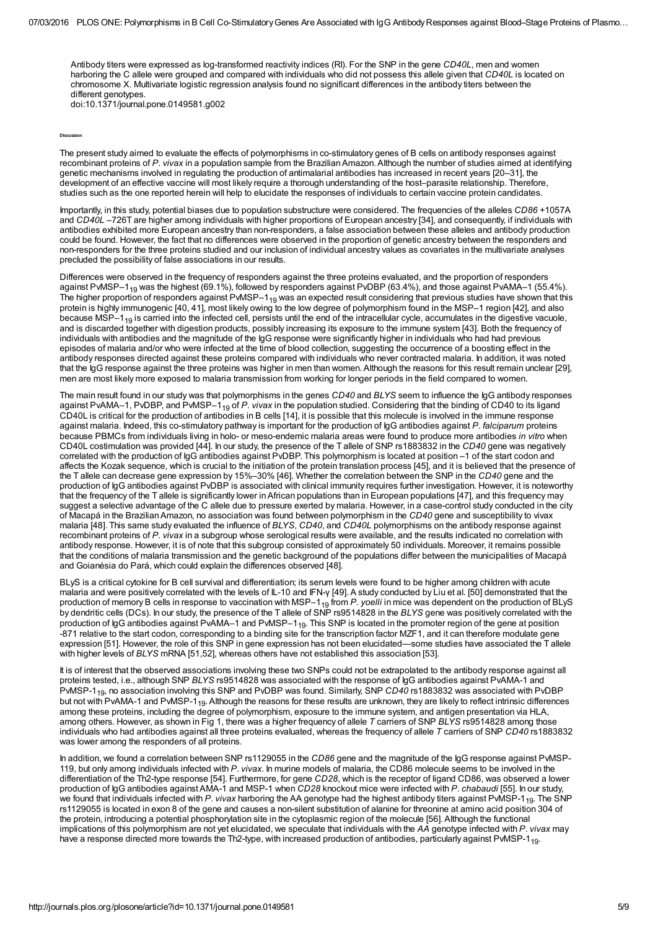Antibody titers were expressed as log-transformed reactivity indices (RI). For the SNP in the gene CD40L, men and women harboring the C allele were grouped and compared with individuals who did not possess this allele given that CD40L is located on chromosome X. Multivariate logistic regression analysis found no significant differences in the antibody titers between the different genotypes.

doi:10.1371/journal.pone.0149581.g002

**Discussion** 

The present study aimed to evaluate the effects of polymorphisms in co-stimulatory genes of B cells on antibody responses against recombinant proteins of P. vivax in a population sample from the Brazilian Amazon. Although the number of studies aimed at identifying genetic mechanisms involved in regulating the production of antimalarial antibodies has increased in recent years [\[20](#page-6-9)[–31](#page-7-1)], the development of an effective vaccine will most likely require a thorough understanding of the host–parasite relationship. Therefore, studies such as the one reported herein will help to elucidate the responses of individuals to certain vaccine protein candidates.

Importantly, in this study, potential biases due to population substructure were considered. The frequencies of the alleles CD86 +1057A and CD40L –726T are higher among individuals with higher proportions of European ancestry [\[34](#page-7-4)], and consequently, if individuals with antibodies exhibited more European ancestry than non-responders, a false association between these alleles and antibody production could be found. However, the fact that no differences were observed in the proportion of genetic ancestry between the responders and non-responders for the three proteins studied and our inclusion of individual ancestry values as covariates in the multivariate analyses precluded the possibility of false associations in our results.

Differences were observed in the frequency of responders against the three proteins evaluated, and the proportion of responders against PvMSP–1<sub>19</sub> was the highest (69.1%), followed by responders against PvDBP (63.4%), and those against PvAMA–1 (55.4%). The higher proportion of responders against PvMSP–1 $_{\rm 19}$  was an expected result considering that previous studies have shown that this protein is highly immunogenic [\[40](#page-7-10), [41](#page-7-11)], most likely owing to the low degree of polymorphism found in the MSP–1 region [\[42\]](#page-7-12), and also because MSP-1<sub>19</sub> is carried into the infected cell, persists until the end of the intracellular cycle, accumulates in the digestive vacuole, and is discarded together with digestion products, possibly increasing its exposure to the immune system [\[43](#page-7-13)]. Both the frequency of individuals with antibodies and the magnitude of the IgG response were significantly higher in individuals who had had previous episodes of malaria and/or who were infected at the time of blood collection, suggesting the occurrence of a boosting effect in the antibody responses directed against these proteins compared with individuals who never contracted malaria. In addition, it was noted that the IgG response against the three proteins was higher in men than women. Although the reasons for this result remain unclear [\[29](#page-7-14)], men are most likely more exposed to malaria transmission from working for longer periods in the field compared to women.

The main result found in our study was that polymorphisms in the genes CD40 and BLYS seem to influence the IgG antibody responses against PvAMA–1, PvDBP, and PvMSP–1<sub>19</sub> of *P. vivax* in the population studied. Considering that the binding of CD40 to its ligand CD40L is critical for the production of antibodies in B cells [\[14](#page-6-3)], it is possible that this molecule is involved in the immune response against malaria. Indeed, this co-stimulatory pathway is important for the production of IgG antibodies against P. falciparum proteins because PBMCs from individuals living in holo- or meso-endemic malaria areas were found to produce more antibodies in vitro when CD40L costimulation was provided [\[44](#page-7-15)]. In our study, the presence of the T allele of SNP rs1883832 in the CD40 gene was negatively correlated with the production of IgG antibodies against PvDBP. This polymorphism is located at position –1 of the start codon and affects the Kozak sequence, which is crucial to the initiation of the protein translation process [[45\]](#page-8-0), and it is believed that the presence of the T allele can decrease gene expression by 15%–30% [\[46](#page-8-1)]. Whether the correlation between the SNP in the CD40 gene and the production of IgG antibodies against PvDBP is associated with clinical immunity requires further investigation. However, it is noteworthy that the frequency of the T allele is significantly lower inAfrican populations than in European populations [[47\]](#page-8-2), and this frequency may suggest a selective advantage of the C allele due to pressure exerted by malaria. However, in a case-control study conducted in the city of Macapá in the Brazilian Amazon, no association was found between polymorphism in the CD40 gene and susceptibility to vivax malaria [\[48](#page-8-3)]. This same study evaluated the influence of BLYS, CD40, and CD40L polymorphisms on the antibody response against recombinant proteins of P. vivax in a subgroup whose serological results were available, and the results indicated no correlation with antibody response. However, it is of note that this subgroup consisted of approximately 50 individuals. Moreover, it remains possible that the conditions of malaria transmission and the genetic background of the populations differ between the municipalities of Macapá and Goianésia do Pará, which could explain the differences observed [[48\]](#page-8-3).

BLyS is a critical cytokine for B cell survival and differentiation; its serum levels were found to be higher among children with acute malaria and were positively correlated with the levels of IL-10 and IFN-γ [[49\]](#page-8-4). A study conducted by Liu et al. [\[50](#page-8-5)] demonstrated that the production of memory B cells in response to vaccination with MSP–1 $_{19}$  from *P. yoelli* in mice was dependent on the production of BLyS by dendritic cells (DCs). In our study, the presence of the T allele of SNP rs9514828 in the BLYS gene was positively correlated with the production of IgG antibodies against PvAMA–1 and PvMSP–1 $_{19}$ . This SNP is located in the promoter region of the gene at position -871 relative to the start codon, corresponding to a binding site for the transcription factor MZF1, and it can therefore modulate gene expression [\[51](#page-8-6)]. However, the role of this SNP in gene expression has not been elucidated—some studies have associated the T allele with higher levels of BLYS mRNA [\[51](#page-8-6)[,52](#page-8-7)], whereas others have not established this association [[53\]](#page-8-8).

It is of interest that the observed associations involving these two SNPs could not be extrapolated to the antibody response against all proteins tested, i.e., although SNP BLYS rs9514828 was associated with the response of IgG antibodies against PvAMA-1 and PvMSP-1<sub>19</sub>, no association involving this SNP and PvDBP was found. Similarly, SNP *CD40* rs1883832 was associated with PvDBP but not with PvAMA-1 and PvMSP-1<sub>19</sub>. Although the reasons for these results are unknown, they are likely to reflect intrinsic differences among these proteins, including the degree of polymorphism, exposure to the immune system, and antigen presentation via HLA, among others. However, as shown in [Fig](#page-3-0) 1, there was a higher frequency of allele T carriers of SNP BLYS rs9514828 among those individuals who had antibodies against all three proteins evaluated, whereas the frequency of allele  $T$  carriers of SNP CD40 rs1883832 was lower among the responders of all proteins.

In addition, we found a correlation between SNP rs1129055 in the CD86 gene and the magnitude of the IgG response against PvMSP-119, but only among individuals infected with P. vivax. In murine models of malaria, the CD86 molecule seems to be involved in the differentiation of the Th2-type response [\[54](#page-8-9)]. Furthermore, for gene CD28, which is the receptor of ligand CD86, was observed a lower production of IgG antibodies against AMA-1 and MSP-1 when CD28 knockout mice were infected with P. chabaudi [\[55\]](#page-8-10). In our study, we found that individuals infected with P. *vivax* harboring the AA genotype had the highest antibody titers against PvMSP-1<sub>19</sub>. The SNP rs1129055 is located in exon 8 of the gene and causes a non-silent substitution of alanine for threonine at amino acid position 304 of the protein, introducing a potential phosphorylation site in the cytoplasmic region of the molecule [[56\]](#page-8-11). Although the functional implications of this polymorphism are not yet elucidated, we speculate that individuals with the AA genotype infected with P. vivax may have a response directed more towards the Th2-type, with increased production of antibodies, particularly against PvMSP-1<sub>19</sub>.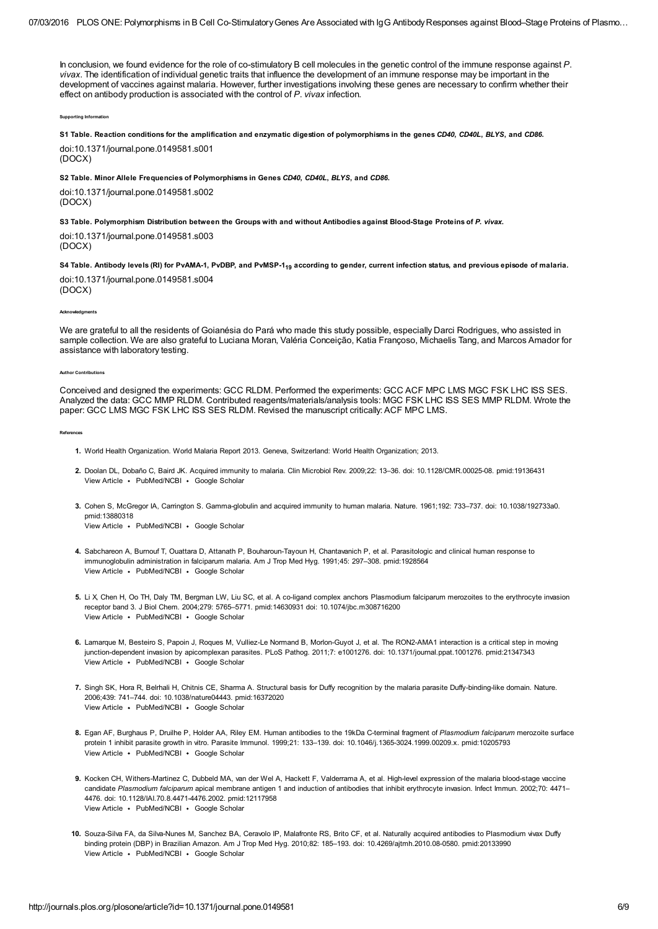In conclusion, we found evidence for the role of co-stimulatory B cell molecules in the genetic control of the immune response against P. vivax. The identification of individual genetic traits that influence the development of an immune response may be important in the development of vaccines against malaria. However, further investigations involving these genes are necessary to confirm whether their effect on antibody production is associated with the control of P. vivax infection.

Supporting Info

<span id="page-5-8"></span>S1 [Table.](http://journals.plos.org/plosone/article/asset?unique&id=info:doi/10.1371/journal.pone.0149581.s001) Reaction conditions for the amplification and enzymatic digestion of polymorphisms in the genes CD40, CD40L, BLYS, and CD86.

doi:10.1371/journal.pone.0149581.s001 (DOCX)

<span id="page-5-9"></span>S2 [Table.](http://journals.plos.org/plosone/article/asset?unique&id=info:doi/10.1371/journal.pone.0149581.s002) Minor Allele Frequencies of Polymorphisms in Genes CD40, CD40L, BLYS, and CD86.

doi:10.1371/journal.pone.0149581.s002 (DOCX)

<span id="page-5-10"></span>S3 [Table.](http://journals.plos.org/plosone/article/asset?unique&id=info:doi/10.1371/journal.pone.0149581.s003) Polymorphism Distribution between the Groups with and without Antibodies against Blood-Stage Proteins of P. vivax.

doi:10.1371/journal.pone.0149581.s003 (DOCX)

<span id="page-5-11"></span>S4 [Table.](http://journals.plos.org/plosone/article/asset?unique&id=info:doi/10.1371/journal.pone.0149581.s004) Antibody levels (RI) for PvAMA-1, PvDBP, and PvMSP-1<sub>19</sub> according to gender, current infection status, and previous episode of malaria.

doi:10.1371/journal.pone.0149581.s004 (DOCX)

Acknowledgments

We are grateful to all the residents of Goianésia do Pará who made this study possible, especially Darci Rodrigues, who assisted in sample collection. We are also grateful to Luciana Moran, Valéria Conceição, Katia Françoso, Michaelis Tang, and Marcos Amador for assistance with laboratory testing.

**Author Contr** 

Conceived and designed the experiments: GCC RLDM. Performed the experiments: GCC ACF MPC LMS MGC FSK LHC ISS SES. Analyzed the data: GCC MMP RLDM. Contributed reagents/materials/analysis tools: MGC FSK LHC ISS SES MMP RLDM. Wrote the paper: GCC LMS MGC FSK LHC ISS SES RLDM. Revised the manuscript critically: ACF MPC LMS.

References

- <span id="page-5-0"></span>1. World Health Organization. World Malaria Report 2013. Geneva, Switzerland: World Health Organization; 2013.
- <span id="page-5-1"></span>2. Doolan DL, Dobaño C, Baird JK. Acquired immunity to malaria. Clin Microbiol Rev. 2009;22: 13–36. doi: 10.1128/CMR.00025-08. pmid:19136431 View [Article](http://dx.doi.org/10.1128/cmr.00025-08) · [PubMed/NCBI](http://www.ncbi.nlm.nih.gov/entrez/query.fcgi?db=PubMed&cmd=Search&doptcmdl=Citation&defaultField=Title+Word&term=Doolan%5Bauthor%5D+AND+Acquired+immunity+to+malaria) · Google [Scholar](http://scholar.google.com/scholar_lookup?title=Acquired+immunity+to+malaria&author=Doolan&publication_year=2009)
- <span id="page-5-2"></span>3. Cohen S, McGregor IA, Carrington S. Gamma-globulin and acquired immunity to human malaria. Nature. 1961;192: 733–737. doi: 10.1038/192733a0. View [Article](http://dx.doi.org/10.1038/192733a0) • [PubMed/NCBI](http://www.ncbi.nlm.nih.gov/entrez/query.fcgi?db=PubMed&cmd=Search&doptcmdl=Citation&defaultField=Title+Word&term=Cohen%5Bauthor%5D+AND+Gamma-globulin+and+acquired+immunity+to+human+malaria) • Google [Scholar](http://scholar.google.com/scholar_lookup?title=Gamma-globulin+and+acquired+immunity+to+human+malaria&author=Cohen&publication_year=1961) pmid:13880318
- <span id="page-5-3"></span>4. Sabchareon A, Burnouf T, Ouattara D, Attanath P, Bouharoun-Tayoun H, Chantavanich P, et al. Parasitologic and clinical human response to View [Article](http://www.crossref.org/guestquery?auth2=Sabchareon&atitle2=Parasitologic+and+clinical+human+response+to+immunoglobulin+administration+in+falciparum+malaria&auth=Sabchareon&atitle=Parasitologic+and+clinical+human+response+to+immunoglobulin+administration+in+falciparum+malaria) • [PubMed/NCBI](http://www.ncbi.nlm.nih.gov/entrez/query.fcgi?db=PubMed&cmd=Search&doptcmdl=Citation&defaultField=Title+Word&term=Sabchareon%5Bauthor%5D+AND+Parasitologic+and+clinical+human+response+to+immunoglobulin+administration+in+falciparum+malaria) • Google [Scholar](http://scholar.google.com/scholar_lookup?title=Parasitologic+and+clinical+human+response+to+immunoglobulin+administration+in+falciparum+malaria&author=Sabchareon&publication_year=1991) immunoglobulin administration in falciparum malaria. Am J Trop Med Hyg. 1991;45: 297–308. pmid:1928564
- <span id="page-5-4"></span>5. Li X, Chen H, Oo TH, Daly TM, Bergman LW, Liu SC, et al. A co-ligand complex anchors Plasmodium falciparum merozoites to the erythrocyte invasion View [Article](http://dx.doi.org/10.1074/jbc.m308716200) · [PubMed/NCBI](http://www.ncbi.nlm.nih.gov/entrez/query.fcgi?db=PubMed&cmd=Search&doptcmdl=Citation&defaultField=Title+Word&term=Li%5Bauthor%5D+AND+A+co-ligand+complex+anchors+Plasmodium+falciparum+merozoites+to+the+erythrocyte+invasion+receptor+band+3) · Google [Scholar](http://scholar.google.com/scholar_lookup?title=A+co-ligand+complex+anchors+Plasmodium+falciparum+merozoites+to+the+erythrocyte+invasion+receptor+band+3&author=Li&publication_year=2004) receptor band 3. J Biol Chem. 2004;279: 5765–5771. pmid:14630931 doi: 10.1074/jbc.m308716200
- <span id="page-5-5"></span>6. Lamarque M, Besteiro S, Papoin J, Roques M, Vulliez-Le Normand B, Morlon-Guyot J, et al. The RON2-AMA1 interaction is a critical step in moving View [Article](http://dx.doi.org/10.1371/journal.ppat.1001276) · [PubMed/NCBI](http://www.ncbi.nlm.nih.gov/entrez/query.fcgi?db=PubMed&cmd=Search&doptcmdl=Citation&defaultField=Title+Word&term=Lamarque%5Bauthor%5D+AND+The+RON2-AMA1+interaction+is+a+critical+step+in+moving+junction-dependent+invasion+by+apicomplexan+parasites) · Google [Scholar](http://scholar.google.com/scholar_lookup?title=The+RON2-AMA1+interaction+is+a+critical+step+in+moving+junction-dependent+invasion+by+apicomplexan+parasites&author=Lamarque&publication_year=2011) junction-dependent invasion by apicomplexan parasites. PLoS Pathog. 2011;7: e1001276. doi: 10.1371/journal.ppat.1001276. pmid:21347343
- <span id="page-5-6"></span>7. Singh SK, Hora R, Belrhali H, Chitnis CE, Sharma A. Structural basis for Duffy recognition by the malaria parasite Duffy-binding-like domain. Nature. View [Article](http://dx.doi.org/10.1038/nature04443) · [PubMed/NCBI](http://www.ncbi.nlm.nih.gov/entrez/query.fcgi?db=PubMed&cmd=Search&doptcmdl=Citation&defaultField=Title+Word&term=Singh%5Bauthor%5D+AND+Structural+basis+for+Duffy+recognition+by+the+malaria+parasite+Duffy-binding-like+domain) · Google [Scholar](http://scholar.google.com/scholar_lookup?title=Structural+basis+for+Duffy+recognition+by+the+malaria+parasite+Duffy-binding-like+domain&author=Singh&publication_year=2006) 2006;439: 741–744. doi: 10.1038/nature04443. pmid:16372020
- <span id="page-5-7"></span>8. Egan AF, Burghaus P, Druilhe P, Holder AA, Riley EM. Human antibodies to the 19kDa C-terminal fragment of Plasmodium falciparum merozoite surface View [Article](http://dx.doi.org/10.1046/j.1365-3024.1999.00209.x) · [PubMed/NCBI](http://www.ncbi.nlm.nih.gov/entrez/query.fcgi?db=PubMed&cmd=Search&doptcmdl=Citation&defaultField=Title+Word&term=Egan%5Bauthor%5D+AND+Human+antibodies+to+the+19kDa+C-terminal+fragment+of+Plasmodium+falciparum+merozoite+surface+protein+1+inhibit+parasite+growth+in+vitro) · Google [Scholar](http://scholar.google.com/scholar_lookup?title=Human+antibodies+to+the+19kDa+C-terminal+fragment+of+Plasmodium+falciparum+merozoite+surface+protein+1+inhibit+parasite+growth+in+vitro&author=Egan&publication_year=1999) protein 1 inhibit parasite growth in vitro. Parasite Immunol. 1999;21: 133–139. doi: 10.1046/j.1365-3024.1999.00209.x. pmid:10205793
- 9. Kocken CH, Withers-Martinez C, Dubbeld MA, van der Wel A, Hackett F, Valderrama A, et al. High-level expression of the malaria blood-stage vaccine View [Article](http://dx.doi.org/10.1128/iai.70.8.4471-4476.2002) · [PubMed/NCBI](http://www.ncbi.nlm.nih.gov/entrez/query.fcgi?db=PubMed&cmd=Search&doptcmdl=Citation&defaultField=Title+Word&term=Kocken%5Bauthor%5D+AND+High-level+expression+of+the+malaria+blood-stage+vaccine+candidate+Plasmodium+falciparum+apical+membrane+antigen+1+and+induction+of+antibodies+that+inhibit+erythrocyte+invasion) · Google [Scholar](http://scholar.google.com/scholar_lookup?title=High-level+expression+of+the+malaria+blood-stage+vaccine+candidate+Plasmodium+falciparum+apical+membrane+antigen+1+and+induction+of+antibodies+that+inhibit+erythrocyte+invasion&author=Kocken&publication_year=2002) candidate Plasmodium falciparum apical membrane antigen 1 and induction of antibodies that inhibit erythrocyte invasion. Infect Immun. 2002;70: 4471-4476. doi: 10.1128/IAI.70.8.4471-4476.2002. pmid:12117958
- 10. Souza-Silva FA, da Silva-Nunes M, Sanchez BA, Ceravolo IP, Malafronte RS, Brito CF, et al. Naturally acquired antibodies to Plasmodium vivax Duffy View [Article](http://dx.doi.org/10.4269/ajtmh.2010.08-0580) · [PubMed/NCBI](http://www.ncbi.nlm.nih.gov/entrez/query.fcgi?db=PubMed&cmd=Search&doptcmdl=Citation&defaultField=Title+Word&term=Souza-Silva%5Bauthor%5D+AND+Naturally+acquired+antibodies+to+Plasmodium+vivax+Duffy+binding+protein+%28DBP%29+in+Brazilian+Amazon) · Google [Scholar](http://scholar.google.com/scholar_lookup?title=Naturally+acquired+antibodies+to+Plasmodium+vivax+Duffy+binding+protein+%28DBP%29+in+Brazilian+Amazon&author=Souza-Silva&publication_year=2010) binding protein (DBP) in Brazilian Amazon. Am J Trop Med Hyg. 2010;82: 185–193. doi: 10.4269/ajtmh.2010.08-0580. pmid:20133990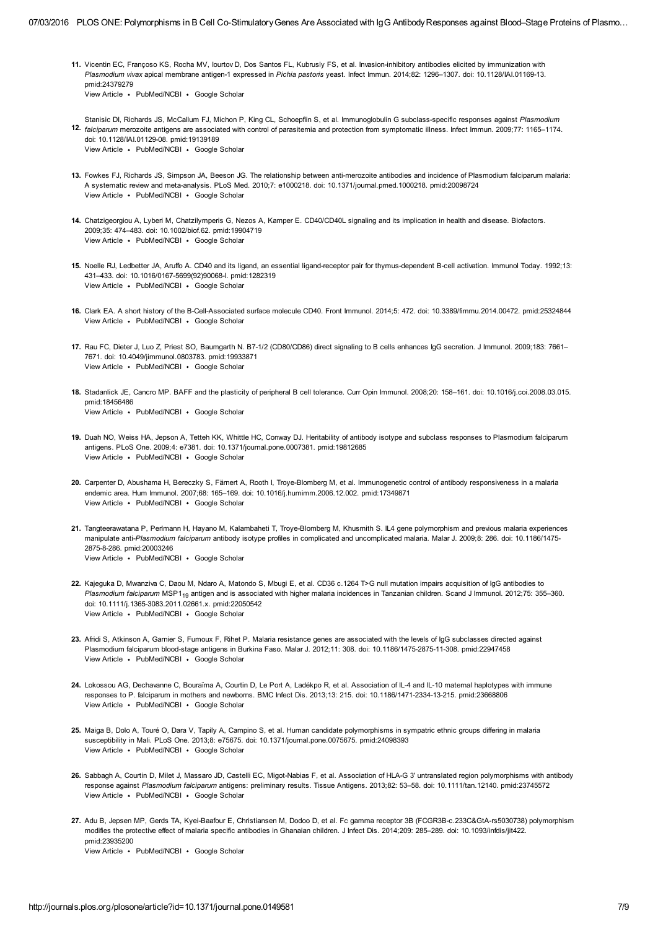- <span id="page-6-0"></span>11. Vicentin EC, Françoso KS, Rocha MV, Iourtov D, Dos Santos FL, Kubrusly FS, et al. Invasion-inhibitory antibodies elicited by immunization with View [Article](http://dx.doi.org/10.1128/iai.01169-13) [PubMed/NCBI](http://www.ncbi.nlm.nih.gov/entrez/query.fcgi?db=PubMed&cmd=Search&doptcmdl=Citation&defaultField=Title+Word&term=Vicentin%5Bauthor%5D+AND+Invasion-inhibitory+antibodies+elicited+by+immunization+with+Plasmodium+vivax+apical+membrane+antigen-1+expressed+in+Pichia+pastoris+yeast) Google [Scholar](http://scholar.google.com/scholar_lookup?title=Invasion-inhibitory+antibodies+elicited+by+immunization+with+Plasmodium+vivax+apical+membrane+antigen-1+expressed+in+Pichia+pastoris+yeast&author=Vicentin&publication_year=2014) Plasmodium vivax apical membrane antigen-1 expressed in Pichia pastoris yeast. Infect Immun. 2014;82: 1296–1307. doi: 10.1128/IAI.01169-13. pmid:24379279
- <span id="page-6-1"></span>12. falciparum merozoite antigens are associated with control of parasitemia and protection from symptomatic illness. Infect Immun. 2009;77: 1165–1174. View [Article](http://dx.doi.org/10.1128/iai.01129-08) • [PubMed/NCBI](http://www.ncbi.nlm.nih.gov/entrez/query.fcgi?db=PubMed&cmd=Search&doptcmdl=Citation&defaultField=Title+Word&term=Stanisic%5Bauthor%5D+AND+Immunoglobulin+G+subclass-specific+responses+against+Plasmodium+falciparum+merozoite+antigens+are+associated+with+control+of+parasitemia+and+protection+from+symptomatic+illness) • Google [Scholar](http://scholar.google.com/scholar_lookup?title=Immunoglobulin+G+subclass-specific+responses+against+Plasmodium+falciparum+merozoite+antigens+are+associated+with+control+of+parasitemia+and+protection+from+symptomatic+illness&author=Stanisic&publication_year=2009) Stanisic DI, Richards JS, McCallum FJ, Michon P, King CL, Schoepflin S, et al. Immunoglobulin G subclass-specific responses against Plasmodium doi: 10.1128/IAI.01129-08. pmid:19139189
- <span id="page-6-2"></span>13. Fowkes FJ, Richards JS, Simpson JA, Beeson JG. The relationship between anti-merozoite antibodies and incidence of Plasmodium falciparum malaria: View [Article](http://dx.doi.org/10.1371/journal.pmed.1000218) · [PubMed/NCBI](http://www.ncbi.nlm.nih.gov/entrez/query.fcgi?db=PubMed&cmd=Search&doptcmdl=Citation&defaultField=Title+Word&term=Fowkes%5Bauthor%5D+AND+The+relationship+between+anti-merozoite+antibodies+and+incidence+of+Plasmodium+falciparum+malaria%3A+A+systematic+review+and+meta-analysis) · Google [Scholar](http://scholar.google.com/scholar_lookup?title=The+relationship+between+anti-merozoite+antibodies+and+incidence+of+Plasmodium+falciparum+malaria%3A+A+systematic+review+and+meta-analysis&author=Fowkes&publication_year=2010) A systematic review and meta-analysis. PLoS Med. 2010;7: e1000218. doi: 10.1371/journal.pmed.1000218. pmid:20098724
- <span id="page-6-3"></span>14. Chatzigeorgiou A, Lyberi M, Chatzilymperis G, Nezos A, Kamper E. CD40/CD40L signaling and its implication in health and disease. Biofactors. View [Article](http://dx.doi.org/10.1002/biof.62) · [PubMed/NCBI](http://www.ncbi.nlm.nih.gov/entrez/query.fcgi?db=PubMed&cmd=Search&doptcmdl=Citation&defaultField=Title+Word&term=Chatzigeorgiou%5Bauthor%5D+AND+CD40%2FCD40L+signaling+and+its+implication+in+health+and+disease) · Google [Scholar](http://scholar.google.com/scholar_lookup?title=CD40%2FCD40L+signaling+and+its+implication+in+health+and+disease&author=Chatzigeorgiou&publication_year=2009) 2009;35: 474–483. doi: 10.1002/biof.62. pmid:19904719
- <span id="page-6-4"></span>15. Noelle RJ, Ledbetter JA, Aruffo A. CD40 and its ligand, an essential ligand-receptor pair for thymus-dependent B-cell activation. Immunol Today. 1992;13: View [Article](http://dx.doi.org/10.1016/0167-5699(92)90068-i) · [PubMed/NCBI](http://www.ncbi.nlm.nih.gov/entrez/query.fcgi?db=PubMed&cmd=Search&doptcmdl=Citation&defaultField=Title+Word&term=Noelle%5Bauthor%5D+AND+CD40+and+its+ligand%2C+an+essential+ligand-receptor+pair+for+thymus-dependent+B-cell+activation) · Google [Scholar](http://scholar.google.com/scholar_lookup?title=CD40+and+its+ligand%2C+an+essential+ligand-receptor+pair+for+thymus-dependent+B-cell+activation&author=Noelle&publication_year=1992) 431–433. doi: 10.1016/0167-5699(92)90068-I. pmid:1282319
- <span id="page-6-5"></span>16. Clark EA. A short history of the B-Cell-Associated surface molecule CD40. Front Immunol. 2014;5: 472. doi: 10.3389/fimmu.2014.00472. pmid:25324844 View [Article](http://dx.doi.org/10.3389/fimmu.2014.00472) · [PubMed/NCBI](http://www.ncbi.nlm.nih.gov/entrez/query.fcgi?db=PubMed&cmd=Search&doptcmdl=Citation&defaultField=Title+Word&term=Clark%5Bauthor%5D+AND+A+short+history+of+the+B-Cell-Associated+surface+molecule+CD40) · Google [Scholar](http://scholar.google.com/scholar_lookup?title=A+short+history+of+the+B-Cell-Associated+surface+molecule+CD40&author=Clark&publication_year=2014)
- <span id="page-6-6"></span>17. Rau FC, Dieter J, Luo Z, Priest SO, Baumgarth N. B7-1/2 (CD80/CD86) direct signaling to B cells enhances IgG secretion. J Immunol. 2009;183: 7661– View [Article](http://dx.doi.org/10.4049/jimmunol.0803783) · [PubMed/NCBI](http://www.ncbi.nlm.nih.gov/entrez/query.fcgi?db=PubMed&cmd=Search&doptcmdl=Citation&defaultField=Title+Word&term=Rau%5Bauthor%5D+AND+B7-1%2F2+%28CD80%2FCD86%29+direct+signaling+to+B+cells+enhances+IgG+secretion) · Google [Scholar](http://scholar.google.com/scholar_lookup?title=B7-1%2F2+%28CD80%2FCD86%29+direct+signaling+to+B+cells+enhances+IgG+secretion&author=Rau&publication_year=2009) 7671. doi: 10.4049/jimmunol.0803783. pmid:19933871
- <span id="page-6-7"></span>18. Stadanlick JE, Cancro MP. BAFF and the plasticity of peripheral B cell tolerance. Curr Opin Immunol. 2008;20: 158–161. doi: 10.1016/j.coi.2008.03.015. View [Article](http://dx.doi.org/10.1016/j.coi.2008.03.015) · [PubMed/NCBI](http://www.ncbi.nlm.nih.gov/entrez/query.fcgi?db=PubMed&cmd=Search&doptcmdl=Citation&defaultField=Title+Word&term=Stadanlick%5Bauthor%5D+AND+BAFF+and+the+plasticity+of+peripheral+B+cell+tolerance) · Google [Scholar](http://scholar.google.com/scholar_lookup?title=BAFF+and+the+plasticity+of+peripheral+B+cell+tolerance&author=Stadanlick&publication_year=2008) pmid:18456486
- <span id="page-6-8"></span>19. Duah NO, Weiss HA, Jepson A, Tetteh KK, Whittle HC, Conway DJ. Heritability of antibody isotype and subclass responses to Plasmodium falciparum View [Article](http://dx.doi.org/10.1371/journal.pone.0007381) · [PubMed/NCBI](http://www.ncbi.nlm.nih.gov/entrez/query.fcgi?db=PubMed&cmd=Search&doptcmdl=Citation&defaultField=Title+Word&term=Duah%5Bauthor%5D+AND+Heritability+of+antibody+isotype+and+subclass+responses+to+Plasmodium+falciparum+antigens) · Google [Scholar](http://scholar.google.com/scholar_lookup?title=Heritability+of+antibody+isotype+and+subclass+responses+to+Plasmodium+falciparum+antigens&author=Duah&publication_year=2009) antigens. PLoS One. 2009;4: e7381. doi: 10.1371/journal.pone.0007381. pmid:19812685
- <span id="page-6-9"></span>20. Carpenter D, Abushama H, Bereczky S, Färnert A, Rooth I, Troye-Blomberg M, et al. Immunogenetic control of antibody responsiveness in a malaria View [Article](http://dx.doi.org/10.1016/j.humimm.2006.12.002) · [PubMed/NCBI](http://www.ncbi.nlm.nih.gov/entrez/query.fcgi?db=PubMed&cmd=Search&doptcmdl=Citation&defaultField=Title+Word&term=Carpenter%5Bauthor%5D+AND+Immunogenetic+control+of+antibody+responsiveness+in+a+malaria+endemic+area) · Google [Scholar](http://scholar.google.com/scholar_lookup?title=Immunogenetic+control+of+antibody+responsiveness+in+a+malaria+endemic+area&author=Carpenter&publication_year=2007) endemic area. Hum Immunol. 2007;68: 165–169. doi: 10.1016/j.humimm.2006.12.002. pmid:17349871
- 21. Tangteerawatana P, Perlmann H, Hayano M, Kalambaheti T, Troye-Blomberg M, Khusmith S. IL4 gene polymorphism and previous malaria experiences View [Article](http://dx.doi.org/10.1186/1475-2875-8-286) · [PubMed/NCBI](http://www.ncbi.nlm.nih.gov/entrez/query.fcgi?db=PubMed&cmd=Search&doptcmdl=Citation&defaultField=Title+Word&term=Tangteerawatana%5Bauthor%5D+AND+IL4+gene+polymorphism+and+previous+malaria+experiences+manipulate+anti-Plasmodium+falciparum+antibody+isotype+profiles+in+complicated+and+uncomplicated+malaria) · Google [Scholar](http://scholar.google.com/scholar_lookup?title=IL4+gene+polymorphism+and+previous+malaria+experiences+manipulate+anti-Plasmodium+falciparum+antibody+isotype+profiles+in+complicated+and+uncomplicated+malaria&author=Tangteerawatana&publication_year=2009) manipulate anti-Plasmodium falciparum antibody isotype profiles in complicated and uncomplicated malaria. Malar J. 2009;8: 286. doi: 10.1186/1475-2875-8-286. pmid:20003246
- 22. Kajeguka D, Mwanziva C, Daou M, Ndaro A, Matondo S, Mbugi E, et al. CD36 c.1264 T>G null mutation impairs acquisition of IgG antibodies to View [Article](http://dx.doi.org/10.1111/j.1365-3083.2011.02661.x) • [PubMed/NCBI](http://www.ncbi.nlm.nih.gov/entrez/query.fcgi?db=PubMed&cmd=Search&doptcmdl=Citation&defaultField=Title+Word&term=Kajeguka%5Bauthor%5D+AND+CD36+c.1264+T%26gt%3BG+null+mutation+impairs+acquisition+of+IgG+antibodies+to+Plasmodium+falciparum+MSP119+antigen+and+is+associated+with+higher+malaria+incidences+in+Tanzanian+children) • Google [Scholar](http://scholar.google.com/scholar_lookup?title=CD36+c.1264+T%26gt%3BG+null+mutation+impairs+acquisition+of+IgG+antibodies+to+Plasmodium+falciparum+MSP119+antigen+and+is+associated+with+higher+malaria+incidences+in+Tanzanian+children&author=Kajeguka&publication_year=2012) Plasmodium falciparum MSP1<sub>19</sub> antigen and is associated with higher malaria incidences in Tanzanian children. Scand J Immunol. 2012;75: 355–360. doi: 10.1111/j.1365-3083.2011.02661.x. pmid:22050542
- 23. Afridi S, Atkinson A, Garnier S, Fumoux F, Rihet P. Malaria resistance genes are associated with the levels of IgG subclasses directed against View [Article](http://dx.doi.org/10.1186/1475-2875-11-308) · [PubMed/NCBI](http://www.ncbi.nlm.nih.gov/entrez/query.fcgi?db=PubMed&cmd=Search&doptcmdl=Citation&defaultField=Title+Word&term=Afridi%5Bauthor%5D+AND+Malaria+resistance+genes+are+associated+with+the+levels+of+IgG+subclasses+directed+against+Plasmodium+falciparum+blood-stage+antigens+in+Burkina+Faso) · Google [Scholar](http://scholar.google.com/scholar_lookup?title=Malaria+resistance+genes+are+associated+with+the+levels+of+IgG+subclasses+directed+against+Plasmodium+falciparum+blood-stage+antigens+in+Burkina+Faso&author=Afridi&publication_year=2012) Plasmodium falciparum blood-stage antigens in Burkina Faso. Malar J. 2012;11: 308. doi: 10.1186/1475-2875-11-308. pmid:22947458
- 24. Lokossou AG, Dechavanne C, Bouraïma A, Courtin D, Le Port A, Ladékpo R, et al. Association of IL-4 and IL-10 maternal haplotypes with immune View [Article](http://dx.doi.org/10.1186/1471-2334-13-215) • [PubMed/NCBI](http://www.ncbi.nlm.nih.gov/entrez/query.fcgi?db=PubMed&cmd=Search&doptcmdl=Citation&defaultField=Title+Word&term=Lokossou%5Bauthor%5D+AND+Association+of+IL-4+and+IL-10+maternal+haplotypes+with+immune+responses+to+P.+falciparum+in+mothers+and+newborns) • Google [Scholar](http://scholar.google.com/scholar_lookup?title=Association+of+IL-4+and+IL-10+maternal+haplotypes+with+immune+responses+to+P.+falciparum+in+mothers+and+newborns&author=Lokossou&publication_year=2013) responses to P. falciparum in mothers and newborns. BMC Infect Dis. 2013;13: 215. doi: 10.1186/1471-2334-13-215. pmid:23668806
- 25. Maiga B, Dolo A, Touré O, Dara V, Tapily A, Campino S, et al. Human candidate polymorphisms in sympatric ethnic groups differing in malaria View [Article](http://dx.doi.org/10.1371/journal.pone.0075675) · [PubMed/NCBI](http://www.ncbi.nlm.nih.gov/entrez/query.fcgi?db=PubMed&cmd=Search&doptcmdl=Citation&defaultField=Title+Word&term=Maiga%5Bauthor%5D+AND+Human+candidate+polymorphisms+in+sympatric+ethnic+groups+differing+in+malaria+susceptibility+in+Mali) · Google [Scholar](http://scholar.google.com/scholar_lookup?title=Human+candidate+polymorphisms+in+sympatric+ethnic+groups+differing+in+malaria+susceptibility+in+Mali&author=Maiga&publication_year=2013) susceptibility in Mali. PLoS One. 2013;8: e75675. doi: 10.1371/journal.pone.0075675. pmid:24098393
- 26. Sabbagh A, Courtin D, Milet J, Massaro JD, Castelli EC, Migot-Nabias F, et al. Association of HLA-G 3' untranslated region polymorphisms with antibody View [Article](http://dx.doi.org/10.1111/tan.12140) • [PubMed/NCBI](http://www.ncbi.nlm.nih.gov/entrez/query.fcgi?db=PubMed&cmd=Search&doptcmdl=Citation&defaultField=Title+Word&term=Sabbagh%5Bauthor%5D+AND+Association+of+HLA-G+3%27+untranslated+region+polymorphisms+with+antibody+response+against+Plasmodium+falciparum+antigens%3A+preliminary+results) • Google [Scholar](http://scholar.google.com/scholar_lookup?title=Association+of+HLA-G+3%27+untranslated+region+polymorphisms+with+antibody+response+against+Plasmodium+falciparum+antigens%3A+preliminary+results&author=Sabbagh&publication_year=2013) response against Plasmodium falciparum antigens: preliminary results. Tissue Antigens. 2013;82: 53-58. doi: 10.1111/tan.12140. pmid:23745572
- <span id="page-6-10"></span>27. Adu B, Jepsen MP, Gerds TA, Kyei-Baafour E, Christiansen M, Dodoo D, et al. Fc gamma receptor 3B (FCGR3B-c.233C&GtA-rs5030738) polymorphism View [Article](http://dx.doi.org/10.1093/infdis/jit422) · [PubMed/NCBI](http://www.ncbi.nlm.nih.gov/entrez/query.fcgi?db=PubMed&cmd=Search&doptcmdl=Citation&defaultField=Title+Word&term=Adu%5Bauthor%5D+AND+Fc+gamma+receptor+3B+%28FCGR3B-c.233C%26amp%3BGtA-rs5030738%29+polymorphism+modifies+the+protective+effect+of+malaria+specific+antibodies+in+Ghanaian+children) · Google [Scholar](http://scholar.google.com/scholar_lookup?title=Fc+gamma+receptor+3B+%28FCGR3B-c.233C%26amp%3BGtA-rs5030738%29+polymorphism+modifies+the+protective+effect+of+malaria+specific+antibodies+in+Ghanaian+children&author=Adu&publication_year=2014) modifies the protective effect of malaria specific antibodies in Ghanaian children. J Infect Dis. 2014;209: 285–289. doi: 10.1093/infdis/jit422. pmid:23935200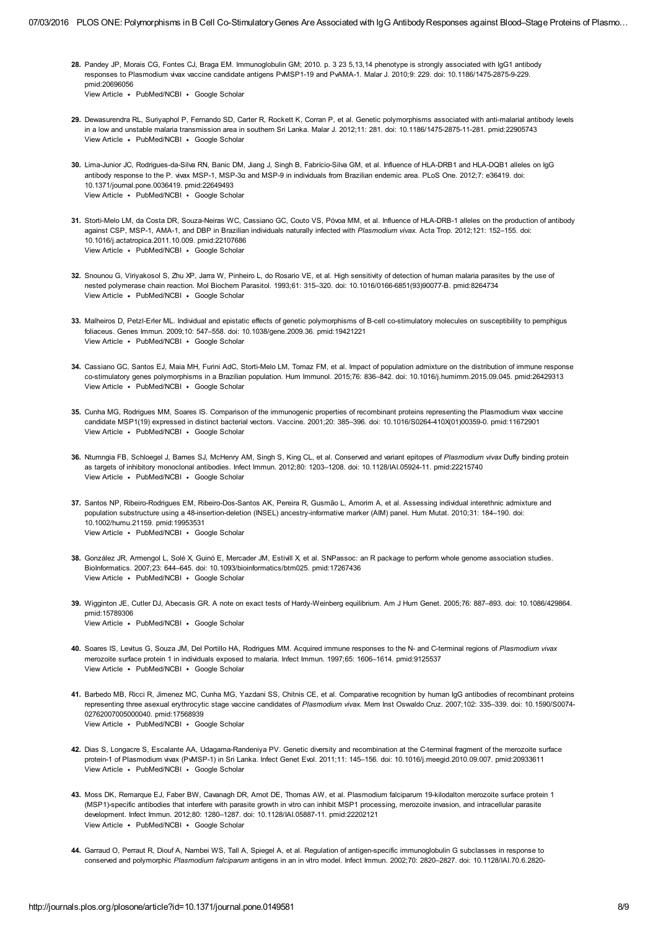- <span id="page-7-0"></span>28. Pandey JP, Morais CG, Fontes CJ, Braga EM. Immunoglobulin GM; 2010. p. 3 23 5,13,14 phenotype is strongly associated with IgG1 antibody responses to Plasmodium vivax vaccine candidate antigens PvMSP1-19 and PvAMA-1. Malar J. 2010;9: 229. doi: 10.1186/1475-2875-9-229. pmid:20696056
	- View [Article](http://dx.doi.org/10.1186/1475-2875-9-229) [PubMed/NCBI](http://www.ncbi.nlm.nih.gov/entrez/query.fcgi?db=PubMed&cmd=Search&doptcmdl=Citation&defaultField=Title+Word&term=Pandey%5Bauthor%5D+AND+Immunoglobulin+GM%3B+2010.+p.+3+23+5%2C13%2C14+phenotype+is+strongly+associated+with+IgG1+antibody+responses+to+Plasmodium+vivax+vaccine+candidate+antigens+PvMSP1-19+and+PvAMA-1) Google [Scholar](http://scholar.google.com/scholar_lookup?title=Immunoglobulin+GM%3B+2010.+p.+3+23+5%2C13%2C14+phenotype+is+strongly+associated+with+IgG1+antibody+responses+to+Plasmodium+vivax+vaccine+candidate+antigens+PvMSP1-19+and+PvAMA-1&author=Pandey&publication_year=2010)
- <span id="page-7-14"></span>29. Dewasurendra RL, Suriyaphol P, Fernando SD, Carter R, Rockett K, Corran P, et al. Genetic polymorphisms associated with anti-malarial antibody levels View [Article](http://dx.doi.org/10.1186/1475-2875-11-281) · [PubMed/NCBI](http://www.ncbi.nlm.nih.gov/entrez/query.fcgi?db=PubMed&cmd=Search&doptcmdl=Citation&defaultField=Title+Word&term=Dewasurendra%5Bauthor%5D+AND+Genetic+polymorphisms+associated+with+anti-malarial+antibody+levels+in+a+low+and+unstable+malaria+transmission+area+in+southern+Sri+Lanka) · Google [Scholar](http://scholar.google.com/scholar_lookup?title=Genetic+polymorphisms+associated+with+anti-malarial+antibody+levels+in+a+low+and+unstable+malaria+transmission+area+in+southern+Sri+Lanka&author=Dewasurendra&publication_year=2012) in a low and unstable malaria transmission area in southern Sri Lanka. Malar J. 2012;11: 281. doi: 10.1186/1475-2875-11-281. pmid:22905743
- 30. Lima-Junior JC, Rodrigues-da-Silva RN, Banic DM, Jiang J, Singh B, Fabrício-Silva GM, et al. Influence of HLA-DRB1 and HLA-DQB1 alleles on IgG View [Article](http://dx.doi.org/10.1371/journal.pone.0036419) · [PubMed/NCBI](http://www.ncbi.nlm.nih.gov/entrez/query.fcgi?db=PubMed&cmd=Search&doptcmdl=Citation&defaultField=Title+Word&term=Lima-Junior%5Bauthor%5D+AND+Influence+of+HLA-DRB1+and+HLA-DQB1+alleles+on+IgG+antibody+response+to+the+P.+vivax+MSP-1%2C+MSP-3%3F+and+MSP-9+in+individuals+from+Brazilian+endemic+area) · Google [Scholar](http://scholar.google.com/scholar_lookup?title=Influence+of+HLA-DRB1+and+HLA-DQB1+alleles+on+IgG+antibody+response+to+the+P.+vivax+MSP-1%2C+MSP-3%3F+and+MSP-9+in+individuals+from+Brazilian+endemic+area&author=Lima-Junior&publication_year=2012) antibody response to the P. vivax MSP-1, MSP-3α and MSP-9 in individuals from Brazilian endemic area. PLoS One. 2012;7: e36419. doi: 10.1371/journal.pone.0036419. pmid:22649493
- <span id="page-7-1"></span>31. Storti-Melo LM, da Costa DR, Souza-Neiras WC, Cassiano GC, Couto VS, Póvoa MM, et al. Influence of HLA-DRB-1 alleles on the production of antibody View [Article](http://dx.doi.org/10.1016/j.actatropica.2011.10.009) · [PubMed/NCBI](http://www.ncbi.nlm.nih.gov/entrez/query.fcgi?db=PubMed&cmd=Search&doptcmdl=Citation&defaultField=Title+Word&term=Storti-Melo%5Bauthor%5D+AND+Influence+of+HLA-DRB-1+alleles+on+the+production+of+antibody+against+CSP%2C+MSP-1%2C+AMA-1%2C+and+DBP+in+Brazilian+individuals+naturally+infected+with+Plasmodium+vivax) · Google [Scholar](http://scholar.google.com/scholar_lookup?title=Influence+of+HLA-DRB-1+alleles+on+the+production+of+antibody+against+CSP%2C+MSP-1%2C+AMA-1%2C+and+DBP+in+Brazilian+individuals+naturally+infected+with+Plasmodium+vivax&author=Storti-Melo&publication_year=2012) against CSP, MSP-1, AMA-1, and DBP in Brazilian individuals naturally infected with Plasmodium vivax. Acta Trop. 2012;121: 152–155. doi: 10.1016/j.actatropica.2011.10.009. pmid:22107686
- <span id="page-7-2"></span>32. Snounou G, Viriyakosol S, Zhu XP, Jarra W, Pinheiro L, do Rosario VE, et al. High sensitivity of detection of human malaria parasites by the use of View [Article](http://dx.doi.org/10.1016/0166-6851(93)90077-b) • [PubMed/NCBI](http://www.ncbi.nlm.nih.gov/entrez/query.fcgi?db=PubMed&cmd=Search&doptcmdl=Citation&defaultField=Title+Word&term=Snounou%5Bauthor%5D+AND+High+sensitivity+of+detection+of+human+malaria+parasites+by+the+use+of+nested+polymerase+chain+reaction) • Google [Scholar](http://scholar.google.com/scholar_lookup?title=High+sensitivity+of+detection+of+human+malaria+parasites+by+the+use+of+nested+polymerase+chain+reaction&author=Snounou&publication_year=1993) nested polymerase chain reaction. Mol Biochem Parasitol. 1993;61: 315–320. doi: 10.1016/0166-6851(93)90077-B. pmid:8264734
- <span id="page-7-3"></span>33. Malheiros D, Petzl-Erler ML. Individual and epistatic effects of genetic polymorphisms of B-cell co-stimulatory molecules on susceptibility to pemphigus View [Article](http://dx.doi.org/10.1038/gene.2009.36) • [PubMed/NCBI](http://www.ncbi.nlm.nih.gov/entrez/query.fcgi?db=PubMed&cmd=Search&doptcmdl=Citation&defaultField=Title+Word&term=Malheiros%5Bauthor%5D+AND+Individual+and+epistatic+effects+of+genetic+polymorphisms+of+B-cell+co-stimulatory+molecules+on+susceptibility+to+pemphigus+foliaceus) • Google [Scholar](http://scholar.google.com/scholar_lookup?title=Individual+and+epistatic+effects+of+genetic+polymorphisms+of+B-cell+co-stimulatory+molecules+on+susceptibility+to+pemphigus+foliaceus&author=Malheiros&publication_year=2009) foliaceus. Genes Immun. 2009;10: 547–558. doi: 10.1038/gene.2009.36. pmid:19421221
- <span id="page-7-4"></span>34. Cassiano GC, Santos EJ, Maia MH, Furini AdC, Storti-Melo LM, Tomaz FM, et al. Impact of population admixture on the distribution of immune response View [Article](http://dx.doi.org/10.1016/j.humimm.2015.09.045) · [PubMed/NCBI](http://www.ncbi.nlm.nih.gov/entrez/query.fcgi?db=PubMed&cmd=Search&doptcmdl=Citation&defaultField=Title+Word&term=Cassiano%5Bauthor%5D+AND+Impact+of+population+admixture+on+the+distribution+of+immune+response+co-stimulatory+genes+polymorphisms+in+a+Brazilian+population) · Google [Scholar](http://scholar.google.com/scholar_lookup?title=Impact+of+population+admixture+on+the+distribution+of+immune+response+co-stimulatory+genes+polymorphisms+in+a+Brazilian+population&author=Cassiano&publication_year=2015) co-stimulatory genes polymorphisms in a Brazilian population. Hum Immunol. 2015;76: 836–842. doi: 10.1016/j.humimm.2015.09.045. pmid:26429313
- <span id="page-7-5"></span>35. Cunha MG, Rodrigues MM, Soares IS. Comparison of the immunogenic properties of recombinant proteins representing the Plasmodium vivax vaccine View [Article](http://dx.doi.org/10.1016/s0264-410x(01)00359-0) • [PubMed/NCBI](http://www.ncbi.nlm.nih.gov/entrez/query.fcgi?db=PubMed&cmd=Search&doptcmdl=Citation&defaultField=Title+Word&term=Cunha%5Bauthor%5D+AND+Comparison+of+the+immunogenic+properties+of+recombinant+proteins+representing+the+Plasmodium+vivax+vaccine+candidate+MSP1%2819%29+expressed+in+distinct+bacterial+vectors) • Google [Scholar](http://scholar.google.com/scholar_lookup?title=Comparison+of+the+immunogenic+properties+of+recombinant+proteins+representing+the+Plasmodium+vivax+vaccine+candidate+MSP1%2819%29+expressed+in+distinct+bacterial+vectors&author=Cunha&publication_year=2001) candidate MSP1(19) expressed in distinct bacterial vectors. Vaccine. 2001;20: 385–396. doi: 10.1016/S0264-410X(01)00359-0. pmid:11672901
- <span id="page-7-6"></span>36. Ntumngia FB, Schloegel J, Barnes SJ, McHenry AM, Singh S, King CL, et al. Conserved and variant epitopes of Plasmodium vivax Duffy binding protein View [Article](http://dx.doi.org/10.1128/iai.05924-11) · [PubMed/NCBI](http://www.ncbi.nlm.nih.gov/entrez/query.fcgi?db=PubMed&cmd=Search&doptcmdl=Citation&defaultField=Title+Word&term=Ntumngia%5Bauthor%5D+AND+Conserved+and+variant+epitopes+of+Plasmodium+vivax+Duffy+binding+protein+as+targets+of+inhibitory+monoclonal+antibodies) · Google [Scholar](http://scholar.google.com/scholar_lookup?title=Conserved+and+variant+epitopes+of+Plasmodium+vivax+Duffy+binding+protein+as+targets+of+inhibitory+monoclonal+antibodies&author=Ntumngia&publication_year=2012) as targets of inhibitory monoclonal antibodies. Infect Immun. 2012;80: 1203–1208. doi: 10.1128/IAI.05924-11. pmid:22215740
- <span id="page-7-7"></span>37. Santos NP, Ribeiro-Rodrigues EM, Ribeiro-Dos-Santos AK, Pereira R, Gusmão L, Amorim A, et al. Assessing individual interethnic admixture and View [Article](http://dx.doi.org/10.1002/humu.21159) · [PubMed/NCBI](http://www.ncbi.nlm.nih.gov/entrez/query.fcgi?db=PubMed&cmd=Search&doptcmdl=Citation&defaultField=Title+Word&term=Santos%5Bauthor%5D+AND+Assessing+individual+interethnic+admixture+and+population+substructure+using+a+48-insertion-deletion+%28INSEL%29+ancestry-informative+marker+%28AIM%29+panel) · Google [Scholar](http://scholar.google.com/scholar_lookup?title=Assessing+individual+interethnic+admixture+and+population+substructure+using+a+48-insertion-deletion+%28INSEL%29+ancestry-informative+marker+%28AIM%29+panel&author=Santos&publication_year=2010) population substructure using a 48-insertion-deletion (INSEL) ancestry-informative marker (AIM) panel. Hum Mutat. 2010;31: 184–190. doi: 10.1002/humu.21159. pmid:19953531
- <span id="page-7-8"></span>38. González JR, Armengol L, Solé X, Guinó E, Mercader JM, Estivill X, et al. SNPassoc: an R package to perform whole genome association studies. View [Article](http://dx.doi.org/10.1093/bioinformatics/btm025) • [PubMed/NCBI](http://www.ncbi.nlm.nih.gov/entrez/query.fcgi?db=PubMed&cmd=Search&doptcmdl=Citation&defaultField=Title+Word&term=Gonz%C3%A1lez%5Bauthor%5D+AND+SNPassoc%3A+an+R+package+to+perform+whole+genome+association+studies) • Google [Scholar](http://scholar.google.com/scholar_lookup?title=SNPassoc%3A+an+R+package+to+perform+whole+genome+association+studies&author=Gonz%C3%A1lez&publication_year=2007) BioInformatics. 2007;23: 644–645. doi: 10.1093/bioinformatics/btm025. pmid:17267436
- <span id="page-7-9"></span>39. Wigginton JE, Cutler DJ, Abecasis GR. A note on exact tests of Hardy-Weinberg equilibrium. Am J Hum Genet. 2005;76: 887–893. doi: 10.1086/429864. View [Article](http://dx.doi.org/10.1086/429864) · [PubMed/NCBI](http://www.ncbi.nlm.nih.gov/entrez/query.fcgi?db=PubMed&cmd=Search&doptcmdl=Citation&defaultField=Title+Word&term=Wigginton%5Bauthor%5D+AND+A+note+on+exact+tests+of+Hardy-Weinberg+equilibrium) · Google [Scholar](http://scholar.google.com/scholar_lookup?title=A+note+on+exact+tests+of+Hardy-Weinberg+equilibrium&author=Wigginton&publication_year=2005) pmid:15789306
- <span id="page-7-10"></span>40. Soares IS, Levitus G, Souza JM, Del Portillo HA, Rodrigues MM. Acquired immune responses to the N- and C-terminal regions of Plasmodium vivax View [Article](http://www.crossref.org/guestquery?auth2=Soares&atitle2=Acquired+immune+responses+to+the+N-+and+C-terminal+regions+of+Plasmodium+vivax+merozoite+surface+protein+1+in+individuals+exposed+to+malaria&auth=Soares&atitle=Acquired+immune+responses+to+the+N-+and+C-terminal+regions+of+Plasmodium+vivax+merozoite+surface+protein+1+in+individuals+exposed+to+malaria) · [PubMed/NCBI](http://www.ncbi.nlm.nih.gov/entrez/query.fcgi?db=PubMed&cmd=Search&doptcmdl=Citation&defaultField=Title+Word&term=Soares%5Bauthor%5D+AND+Acquired+immune+responses+to+the+N-+and+C-terminal+regions+of+Plasmodium+vivax+merozoite+surface+protein+1+in+individuals+exposed+to+malaria) · Google [Scholar](http://scholar.google.com/scholar_lookup?title=Acquired+immune+responses+to+the+N-+and+C-terminal+regions+of+Plasmodium+vivax+merozoite+surface+protein+1+in+individuals+exposed+to+malaria&author=Soares&publication_year=1997) merozoite surface protein 1 in individuals exposed to malaria. Infect Immun. 1997;65: 1606–1614. pmid:9125537
- <span id="page-7-11"></span>41. Barbedo MB, Ricci R, Jimenez MC, Cunha MG, Yazdani SS, Chitnis CE, et al. Comparative recognition by human IgG antibodies of recombinant proteins View [Article](http://dx.doi.org/10.1590/s0074-02762007005000040) · [PubMed/NCBI](http://www.ncbi.nlm.nih.gov/entrez/query.fcgi?db=PubMed&cmd=Search&doptcmdl=Citation&defaultField=Title+Word&term=Barbedo%5Bauthor%5D+AND+Comparative+recognition+by+human+IgG+antibodies+of+recombinant+proteins+representing+three+asexual+erythrocytic+stage+vaccine+candidates+of+Plasmodium+vivax) · Google [Scholar](http://scholar.google.com/scholar_lookup?title=Comparative+recognition+by+human+IgG+antibodies+of+recombinant+proteins+representing+three+asexual+erythrocytic+stage+vaccine+candidates+of+Plasmodium+vivax&author=Barbedo&publication_year=2007) representing three asexual erythrocytic stage vaccine candidates of Plasmodium vivax. Mem Inst Oswaldo Cruz. 2007;102: 335–339. doi: 10.1590/S0074- 02762007005000040. pmid:17568939
- <span id="page-7-12"></span>42. Dias S, Longacre S, Escalante AA, Udagama-Randeniya PV. Genetic diversity and recombination at the C-terminal fragment of the merozoite surface View [Article](http://dx.doi.org/10.1016/j.meegid.2010.09.007) · [PubMed/NCBI](http://www.ncbi.nlm.nih.gov/entrez/query.fcgi?db=PubMed&cmd=Search&doptcmdl=Citation&defaultField=Title+Word&term=Dias%5Bauthor%5D+AND+Genetic+diversity+and+recombination+at+the+C-terminal+fragment+of+the+merozoite+surface+protein-1+of+Plasmodium+vivax+%28PvMSP-1%29+in+Sri+Lanka) · Google [Scholar](http://scholar.google.com/scholar_lookup?title=Genetic+diversity+and+recombination+at+the+C-terminal+fragment+of+the+merozoite+surface+protein-1+of+Plasmodium+vivax+%28PvMSP-1%29+in+Sri+Lanka&author=Dias&publication_year=2011) protein-1 of Plasmodium vivax (PvMSP-1) in Sri Lanka. Infect Genet Evol. 2011;11: 145–156. doi: 10.1016/j.meegid.2010.09.007. pmid:20933611
- <span id="page-7-13"></span>43. Moss DK, Remarque EJ, Faber BW, Cavanagh DR, Arnot DE, Thomas AW, et al. Plasmodium falciparum 19-kilodalton merozoite surface protein 1 View [Article](http://dx.doi.org/10.1128/iai.05887-11) · [PubMed/NCBI](http://www.ncbi.nlm.nih.gov/entrez/query.fcgi?db=PubMed&cmd=Search&doptcmdl=Citation&defaultField=Title+Word&term=Moss%5Bauthor%5D+AND+Plasmodium+falciparum+19-kilodalton+merozoite+surface+protein+1+%28MSP1%29-specific+antibodies+that+interfere+with+parasite+growth+in+vitro+can+inhibit+MSP1+processing%2C+merozoite+invasion%2C+and+intracellular+parasite+development) · Google [Scholar](http://scholar.google.com/scholar_lookup?title=Plasmodium+falciparum+19-kilodalton+merozoite+surface+protein+1+%28MSP1%29-specific+antibodies+that+interfere+with+parasite+growth+in+vitro+can+inhibit+MSP1+processing%2C+merozoite+invasion%2C+and+intracellular+parasite+development&author=Moss&publication_year=2012) (MSP1)-specific antibodies that interfere with parasite growth in vitro can inhibit MSP1 processing, merozoite invasion, and intracellular parasite development. Infect Immun. 2012;80: 1280–1287. doi: 10.1128/IAI.05887-11. pmid:22202121
- <span id="page-7-15"></span>44. Garraud O, Perraut R, Diouf A, Nambei WS, Tall A, Spiegel A, et al. Regulation of antigen-specific immunoglobulin G subclasses in response to conserved and polymorphic Plasmodium falciparum antigens in an in vitro model. Infect Immun. 2002;70: 2820–2827. doi: 10.1128/IAI.70.6.2820-